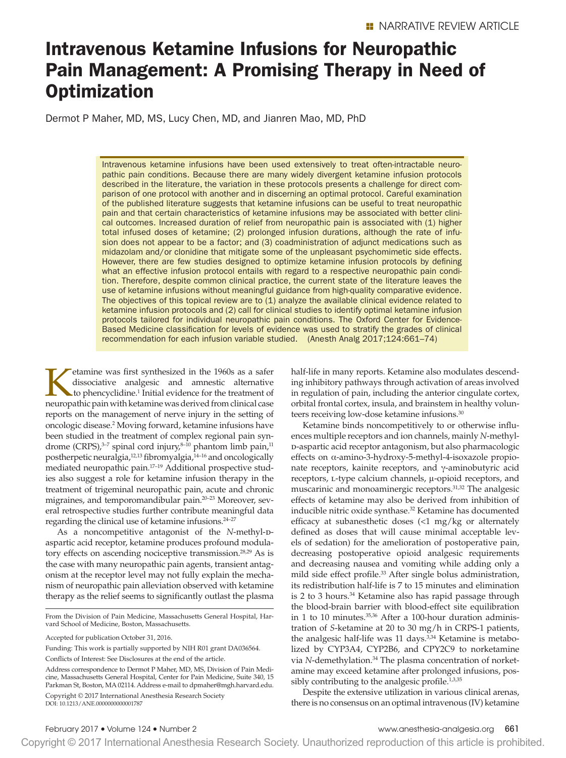# Intravenous Ketamine Infusions for Neuropathic Pain Management: A Promising Therapy in Need of **Optimization**

Dermot P Maher, MD, MS, Lucy Chen, MD, and Jianren Mao, MD, PhD

Intravenous ketamine infusions have been used extensively to treat often-intractable neuropathic pain conditions. Because there are many widely divergent ketamine infusion protocols described in the literature, the variation in these protocols presents a challenge for direct comparison of one protocol with another and in discerning an optimal protocol. Careful examination of the published literature suggests that ketamine infusions can be useful to treat neuropathic pain and that certain characteristics of ketamine infusions may be associated with better clinical outcomes. Increased duration of relief from neuropathic pain is associated with (1) higher total infused doses of ketamine; (2) prolonged infusion durations, although the rate of infusion does not appear to be a factor; and (3) coadministration of adjunct medications such as midazolam and/or clonidine that mitigate some of the unpleasant psychomimetic side effects. However, there are few studies designed to optimize ketamine infusion protocols by defining what an effective infusion protocol entails with regard to a respective neuropathic pain condition. Therefore, despite common clinical practice, the current state of the literature leaves the use of ketamine infusions without meaningful guidance from high-quality comparative evidence. The objectives of this topical review are to (1) analyze the available clinical evidence related to ketamine infusion protocols and (2) call for clinical studies to identify optimal ketamine infusion protocols tailored for individual neuropathic pain conditions. The Oxford Center for Evidence-Based Medicine classification for levels of evidence was used to stratify the grades of clinical recommendation for each infusion variable studied. (Anesth Analg 2017;124:661–74)

Externine was first synthesized in the 1960s as a safer<br>dissociative analgesic and amnestic alternative<br>to phencyclidine.<sup>1</sup> Initial evidence for the treatment of<br>neuronathic pain with ketamine was derived from clinical ca dissociative analgesic and amnestic alternative to phencyclidine.<sup>1</sup> Initial evidence for the treatment of neuropathic pain with ketamine was derived from clinical case reports on the management of nerve injury in the setting of oncologic disease.2 Moving forward, ketamine infusions have been studied in the treatment of complex regional pain syndrome (CRPS), $3-7$  spinal cord injury, $8-10$  phantom limb pain, $11$ postherpetic neuralgia,12,13 fibromyalgia,14–16 and oncologically mediated neuropathic pain.17–19 Additional prospective studies also suggest a role for ketamine infusion therapy in the treatment of trigeminal neuropathic pain, acute and chronic migraines, and temporomandibular pain.20–23 Moreover, several retrospective studies further contribute meaningful data regarding the clinical use of ketamine infusions.24–27

As a noncompetitive antagonist of the *N*-methyl-paspartic acid receptor, ketamine produces profound modulatory effects on ascending nociceptive transmission.<sup>28,29</sup> As is the case with many neuropathic pain agents, transient antagonism at the receptor level may not fully explain the mechanism of neuropathic pain alleviation observed with ketamine therapy as the relief seems to significantly outlast the plasma

Conflicts of Interest: See Disclosures at the end of the article.

half-life in many reports. Ketamine also modulates descending inhibitory pathways through activation of areas involved in regulation of pain, including the anterior cingulate cortex, orbital frontal cortex, insula, and brainstem in healthy volunteers receiving low-dose ketamine infusions.<sup>30</sup>

Ketamine binds noncompetitively to or otherwise influences multiple receptors and ion channels, mainly *N*-methyld-aspartic acid receptor antagonism, but also pharmacologic effects on α-amino-3-hydroxy-5-methyl-4-isoxazole propionate receptors, kainite receptors, and γ-aminobutyric acid receptors, l-type calcium channels, μ-opioid receptors, and muscarinic and monoaminergic receptors.<sup>31,32</sup> The analgesic effects of ketamine may also be derived from inhibition of inducible nitric oxide synthase.32 Ketamine has documented efficacy at subanesthetic doses (<1 mg/kg or alternately defined as doses that will cause minimal acceptable levels of sedation) for the amelioration of postoperative pain, decreasing postoperative opioid analgesic requirements and decreasing nausea and vomiting while adding only a mild side effect profile.33 After single bolus administration, its redistribution half-life is 7 to 15 minutes and elimination is 2 to 3 hours.<sup>34</sup> Ketamine also has rapid passage through the blood-brain barrier with blood-effect site equilibration in 1 to 10 minutes.<sup>35,36</sup> After a 100-hour duration administration of *S*-ketamine at 20 to 30 mg/h in CRPS-1 patients, the analgesic half-life was 11 days.<sup>3,34</sup> Ketamine is metabolized by CYP3A4, CYP2B6, and CPY2C9 to norketamine via *N*-demethylation.34 The plasma concentration of norketamine may exceed ketamine after prolonged infusions, possibly contributing to the analgesic profile.<sup>1,3,35</sup>

Despite the extensive utilization in various clinical arenas, there is no consensus on an optimal intravenous (IV) ketamine

From the Division of Pain Medicine, Massachusetts General Hospital, Harvard School of Medicine, Boston, Massachusetts.

Accepted for publication October 31, 2016.

Funding: This work is partially supported by NIH R01 grant DA036564.

Copyright © 2017 International Anesthesia Research Society DOI: 10.1213/ANE.0000000000001787 Address correspondence to Dermot P Maher, MD, MS, Division of Pain Medicine, Massachusetts General Hospital, Center for Pain Medicine, Suite 340, 15 Parkman St, Boston, MA 02114. Address e-mail to [dpmaher@mgh.harvard.edu](mailto:dpmaher@mgh.harvard.edu).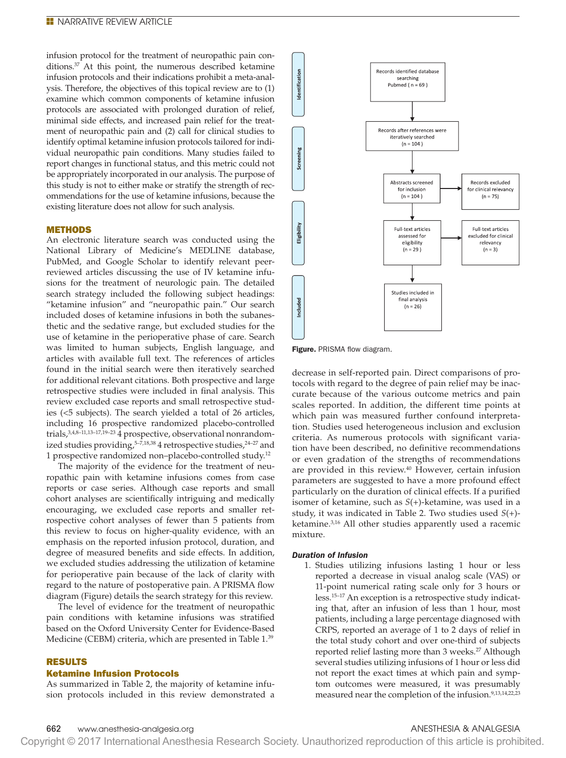infusion protocol for the treatment of neuropathic pain conditions.37 At this point, the numerous described ketamine infusion protocols and their indications prohibit a meta-analysis. Therefore, the objectives of this topical review are to (1) examine which common components of ketamine infusion protocols are associated with prolonged duration of relief, minimal side effects, and increased pain relief for the treatment of neuropathic pain and (2) call for clinical studies to identify optimal ketamine infusion protocols tailored for individual neuropathic pain conditions. Many studies failed to report changes in functional status, and this metric could not be appropriately incorporated in our analysis. The purpose of this study is not to either make or stratify the strength of recommendations for the use of ketamine infusions, because the existing literature does not allow for such analysis.

### METHODS

An electronic literature search was conducted using the National Library of Medicine's MEDLINE database, PubMed, and Google Scholar to identify relevant peerreviewed articles discussing the use of IV ketamine infusions for the treatment of neurologic pain. The detailed search strategy included the following subject headings: "ketamine infusion" and "neuropathic pain." Our search included doses of ketamine infusions in both the subanesthetic and the sedative range, but excluded studies for the use of ketamine in the perioperative phase of care. Search was limited to human subjects, English language, and articles with available full text. The references of articles found in the initial search were then iteratively searched for additional relevant citations. Both prospective and large retrospective studies were included in final analysis. This review excluded case reports and small retrospective studies (<5 subjects). The search yielded a total of 26 articles, including 16 prospective randomized placebo-controlled trials,  $3,4,8$ –11, 13–17, 19–23  $\overline{4}$  prospective, observational nonrandomized studies providing,<sup>5-7,18,38</sup> 4 retrospective studies,<sup>24-27</sup> and 1 prospective randomized non–placebo-controlled study.12

The majority of the evidence for the treatment of neuropathic pain with ketamine infusions comes from case reports or case series. Although case reports and small cohort analyses are scientifically intriguing and medically encouraging, we excluded case reports and smaller retrospective cohort analyses of fewer than 5 patients from this review to focus on higher-quality evidence, with an emphasis on the reported infusion protocol, duration, and degree of measured benefits and side effects. In addition, we excluded studies addressing the utilization of ketamine for perioperative pain because of the lack of clarity with regard to the nature of postoperative pain. A PRISMA flow diagram (Figure) details the search strategy for this review.

The level of evidence for the treatment of neuropathic pain conditions with ketamine infusions was stratified based on the Oxford University Center for Evidence-Based Medicine (CEBM) criteria, which are presented in Table 1. 39

### RESULTS

# Ketamine Infusion Protocols

As summarized in Table 2, the majority of ketamine infusion protocols included in this review demonstrated a



Figure. PRISMA flow diagram.

decrease in self-reported pain. Direct comparisons of protocols with regard to the degree of pain relief may be inaccurate because of the various outcome metrics and pain scales reported. In addition, the different time points at which pain was measured further confound interpretation. Studies used heterogeneous inclusion and exclusion criteria. As numerous protocols with significant variation have been described, no definitive recommendations or even gradation of the strengths of recommendations are provided in this review.<sup>40</sup> However, certain infusion parameters are suggested to have a more profound effect particularly on the duration of clinical effects. If a purified isomer of ketamine, such as *S*(+)-ketamine, was used in a study, it was indicated in Table 2. Two studies used *S*(+) ketamine.3,16 All other studies apparently used a racemic mixture.

#### *Duration of Infusion*

1. Studies utilizing infusions lasting 1 hour or less reported a decrease in visual analog scale (VAS) or 11-point numerical rating scale only for 3 hours or less.15–17 An exception is a retrospective study indicating that, after an infusion of less than 1 hour, most patients, including a large percentage diagnosed with CRPS, reported an average of 1 to 2 days of relief in the total study cohort and over one-third of subjects reported relief lasting more than 3 weeks.<sup>27</sup> Although several studies utilizing infusions of 1 hour or less did not report the exact times at which pain and symptom outcomes were measured, it was presumably measured near the completion of the infusion.<sup>9,13,14,22,23</sup>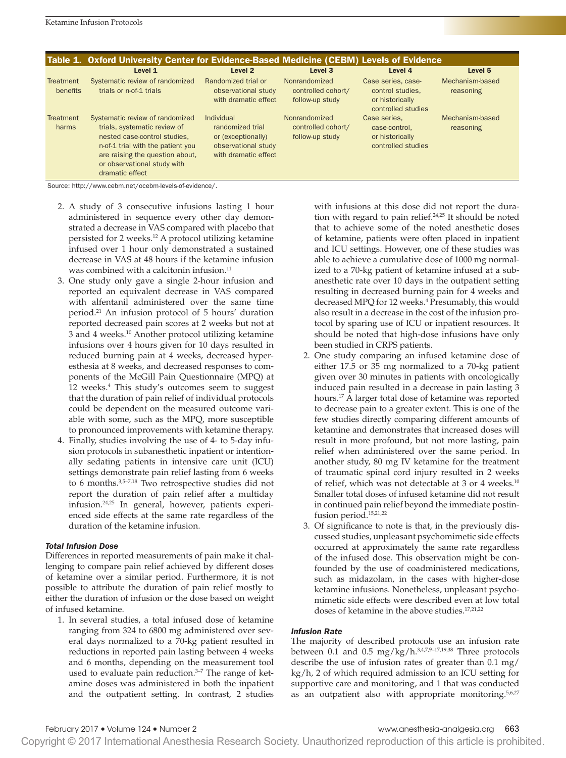|                       | Table 1. Oxford University Center for Evidence-Based Medicine (CEBM) Levels of Evidence                                                                                                                                   |                                                                                                     |                                                        |                                                                                 |                              |
|-----------------------|---------------------------------------------------------------------------------------------------------------------------------------------------------------------------------------------------------------------------|-----------------------------------------------------------------------------------------------------|--------------------------------------------------------|---------------------------------------------------------------------------------|------------------------------|
|                       | Level 1                                                                                                                                                                                                                   | Level 2                                                                                             | Level 3                                                | Level 4                                                                         | Level 5                      |
| Treatment<br>benefits | Systematic review of randomized<br>trials or n-of-1 trials                                                                                                                                                                | Randomized trial or<br>observational study<br>with dramatic effect                                  | Nonrandomized<br>controlled cohort/<br>follow-up study | Case series, case-<br>control studies.<br>or historically<br>controlled studies | Mechanism-based<br>reasoning |
| Treatment<br>harms    | Systematic review of randomized<br>trials, systematic review of<br>nested case-control studies.<br>n-of-1 trial with the patient you<br>are raising the question about.<br>or observational study with<br>dramatic effect | Individual<br>randomized trial<br>or (exceptionally)<br>observational study<br>with dramatic effect | Nonrandomized<br>controlled cohort/<br>follow-up study | Case series.<br>case-control.<br>or historically<br>controlled studies          | Mechanism-based<br>reasoning |

Source: [http://www.cebm.net/ocebm-levels-of-evidence/.](http://www.cebm.net/ocebm-levels-of-evidence/)

- 2. A study of 3 consecutive infusions lasting 1 hour administered in sequence every other day demonstrated a decrease in VAS compared with placebo that persisted for 2 weeks.12 A protocol utilizing ketamine infused over 1 hour only demonstrated a sustained decrease in VAS at 48 hours if the ketamine infusion was combined with a calcitonin infusion.<sup>11</sup>
- 3. One study only gave a single 2-hour infusion and reported an equivalent decrease in VAS compared with alfentanil administered over the same time period.21 An infusion protocol of 5 hours' duration reported decreased pain scores at 2 weeks but not at 3 and 4 weeks.10 Another protocol utilizing ketamine infusions over 4 hours given for 10 days resulted in reduced burning pain at 4 weeks, decreased hyperesthesia at 8 weeks, and decreased responses to components of the McGill Pain Questionnaire (MPQ) at 12 weeks.4 This study's outcomes seem to suggest that the duration of pain relief of individual protocols could be dependent on the measured outcome variable with some, such as the MPQ, more susceptible to pronounced improvements with ketamine therapy.
- 4. Finally, studies involving the use of 4- to 5-day infusion protocols in subanesthetic inpatient or intentionally sedating patients in intensive care unit (ICU) settings demonstrate pain relief lasting from 6 weeks to 6 months.3,5–7,18 Two retrospective studies did not report the duration of pain relief after a multiday infusion.24,25 In general, however, patients experienced side effects at the same rate regardless of the duration of the ketamine infusion.

#### *Total Infusion Dose*

Differences in reported measurements of pain make it challenging to compare pain relief achieved by different doses of ketamine over a similar period. Furthermore, it is not possible to attribute the duration of pain relief mostly to either the duration of infusion or the dose based on weight of infused ketamine.

1. In several studies, a total infused dose of ketamine ranging from 324 to 6800 mg administered over several days normalized to a 70-kg patient resulted in reductions in reported pain lasting between 4 weeks and 6 months, depending on the measurement tool used to evaluate pain reduction.<sup>3-7</sup> The range of ketamine doses was administered in both the inpatient and the outpatient setting. In contrast, 2 studies

with infusions at this dose did not report the duration with regard to pain relief.<sup>24,25</sup> It should be noted that to achieve some of the noted anesthetic doses of ketamine, patients were often placed in inpatient and ICU settings. However, one of these studies was able to achieve a cumulative dose of 1000 mg normalized to a 70-kg patient of ketamine infused at a subanesthetic rate over 10 days in the outpatient setting resulting in decreased burning pain for 4 weeks and decreased MPQ for 12 weeks.4 Presumably, this would also result in a decrease in the cost of the infusion protocol by sparing use of ICU or inpatient resources. It should be noted that high-dose infusions have only been studied in CRPS patients.

- 2. One study comparing an infused ketamine dose of either 17.5 or 35 mg normalized to a 70-kg patient given over 30 minutes in patients with oncologically induced pain resulted in a decrease in pain lasting 3 hours.17 A larger total dose of ketamine was reported to decrease pain to a greater extent. This is one of the few studies directly comparing different amounts of ketamine and demonstrates that increased doses will result in more profound, but not more lasting, pain relief when administered over the same period. In another study, 80 mg IV ketamine for the treatment of traumatic spinal cord injury resulted in 2 weeks of relief, which was not detectable at 3 or 4 weeks.10 Smaller total doses of infused ketamine did not result in continued pain relief beyond the immediate postinfusion period.15,21,22
- 3. Of significance to note is that, in the previously discussed studies, unpleasant psychomimetic side effects occurred at approximately the same rate regardless of the infused dose. This observation might be confounded by the use of coadministered medications, such as midazolam, in the cases with higher-dose ketamine infusions. Nonetheless, unpleasant psychomimetic side effects were described even at low total doses of ketamine in the above studies.<sup>17,21,22</sup>

# *Infusion Rate*

The majority of described protocols use an infusion rate between 0.1 and 0.5 mg/kg/h. $3,4,7,9-17,19,38$  Three protocols describe the use of infusion rates of greater than 0.1 mg/ kg/h, 2 of which required admission to an ICU setting for supportive care and monitoring, and 1 that was conducted as an outpatient also with appropriate monitoring.<sup>5,6,27</sup>

Copyright © 2017 International Anesthesia Research Society. Unauthorized reproduction of this article is prohibited.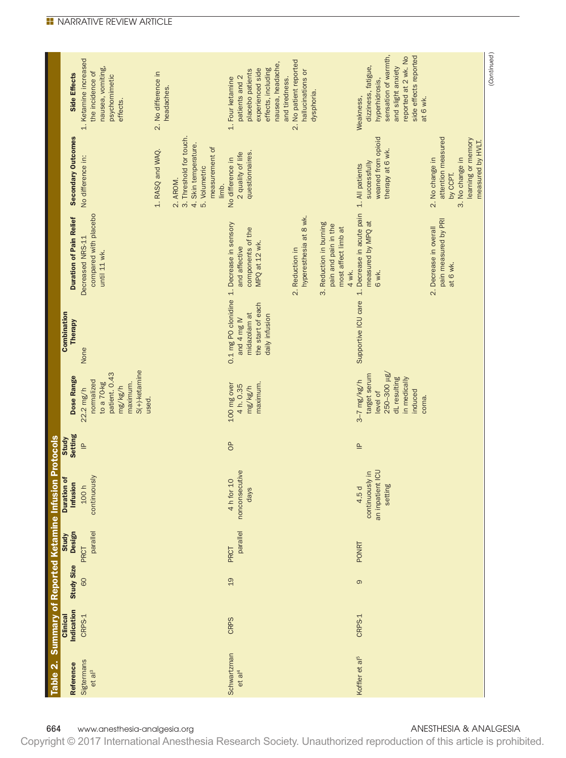|                                                          | Side Effects                   | 1. Ketamine increased<br>nausea, vomiting,<br>the incidence of<br>psychomimetic<br>effects.                  | 2. No difference in<br>headaches.                                                                                           | nausea, headache,<br>experienced side<br>effects, including<br>placebo patients<br>patients and 2<br>1. Four ketamine<br>and tiredness. | 2. No patient reported<br>hallucinations or<br>dysphoria.                                                                    | sensation of warmth,<br>side effects reported<br>reported at 2 wk. No<br>dizziness, fatigue,<br>and slight anxiety<br>hyperhidrosis,<br>at 6 wk.<br>Weakness, |                                                                                                                 |
|----------------------------------------------------------|--------------------------------|--------------------------------------------------------------------------------------------------------------|-----------------------------------------------------------------------------------------------------------------------------|-----------------------------------------------------------------------------------------------------------------------------------------|------------------------------------------------------------------------------------------------------------------------------|---------------------------------------------------------------------------------------------------------------------------------------------------------------|-----------------------------------------------------------------------------------------------------------------|
|                                                          | <b>Secondary Outcomes</b>      | No difference in:                                                                                            | 3. Threshold for touch.<br>4. Skin temperature.<br>measurement of<br>1. RASQ and WAQ.<br>5. Volumetric<br>2. AROM.<br>limb. | questionnaires.<br>2 quality of life<br>No difference in                                                                                |                                                                                                                              | weaned from opioid<br>therapy at 6 wk.<br>successfully<br>1. All patients                                                                                     | attention measured<br>learning or memory<br>measured by HVLT.<br>3. No change in<br>2. No change in<br>by CCPT. |
|                                                          | <b>Duration of Pain Relief</b> | compared with placebo<br>Decreased NRS-11<br>until 11 wk.                                                    |                                                                                                                             | 0.1 mg PO clonidine 1. Decrease in sensory<br>components of the<br>MPQ at 12 wk.<br>and affective                                       | hyperesthesia at 8 wk.<br>3. Reduction in burning<br>pain and pain in the<br>most affect limb at<br>2. Reduction in<br>4 wk. | Supportive ICU care 1. Decrease in acute pain<br>measured by MPQ at<br>6 wk.                                                                                  | pain measured by PRI<br>2. Decrease in overall<br>at 6 wk.                                                      |
|                                                          | Combination<br>Therapy         | None                                                                                                         |                                                                                                                             | the start of each<br>midazolam at<br>daily infusion<br>and 4 mg IV                                                                      |                                                                                                                              |                                                                                                                                                               |                                                                                                                 |
|                                                          | Dose Range                     | $S(+)$ -ketamine<br>patient. 0.43<br>normalized<br>to a 70-kg<br>maximum.<br>mg/kg/h<br>$22.2$ mg/h<br>used. |                                                                                                                             | 100 mg over<br>maximum<br>4 h. 0.35<br>mg/kg/h                                                                                          |                                                                                                                              | 250-300 µg/<br>target serum<br>dL resulting<br>in medically<br>$3-7$ mg/kg/h<br>level of<br>induced<br>coma.                                                  |                                                                                                                 |
|                                                          | <b>Setting</b><br>Study        | $\triangleq$                                                                                                 |                                                                                                                             | $\sigma$                                                                                                                                |                                                                                                                              | $\triangleq$                                                                                                                                                  |                                                                                                                 |
| Table 2. Summary of Reported Ketamine Infusion Protocols | Duration of<br>Infusion        | continuously<br>100h                                                                                         |                                                                                                                             | nonconsecutive<br>4 h for 10<br>days                                                                                                    |                                                                                                                              | an inpatient ICU<br>continuously in<br>setting<br>4.5 d                                                                                                       |                                                                                                                 |
|                                                          | Study<br>Design                | parallel<br>PRCT                                                                                             |                                                                                                                             | parallel<br>PRCT                                                                                                                        |                                                                                                                              | PONRT                                                                                                                                                         |                                                                                                                 |
|                                                          | <b>Study Size</b>              | 60                                                                                                           |                                                                                                                             | 19                                                                                                                                      |                                                                                                                              | $\circ$                                                                                                                                                       |                                                                                                                 |
|                                                          | Indication<br>Clinical         | CRPS-1                                                                                                       |                                                                                                                             | <b>CRPS</b>                                                                                                                             |                                                                                                                              | CRPS-1                                                                                                                                                        |                                                                                                                 |
|                                                          | Reference                      | Sigtermans<br>et al <sup>3</sup>                                                                             |                                                                                                                             | Schwartzman<br>et al <sup>4</sup>                                                                                                       |                                                                                                                              | Koffler et al <sup>5</sup>                                                                                                                                    |                                                                                                                 |

664 www.anesthesia-analgesia.org and analysis and analysis of the state of the anti-state analysis of the analysis of the analysis of the analysis of the analysis of the analysis of the analysis of the analysis of the anal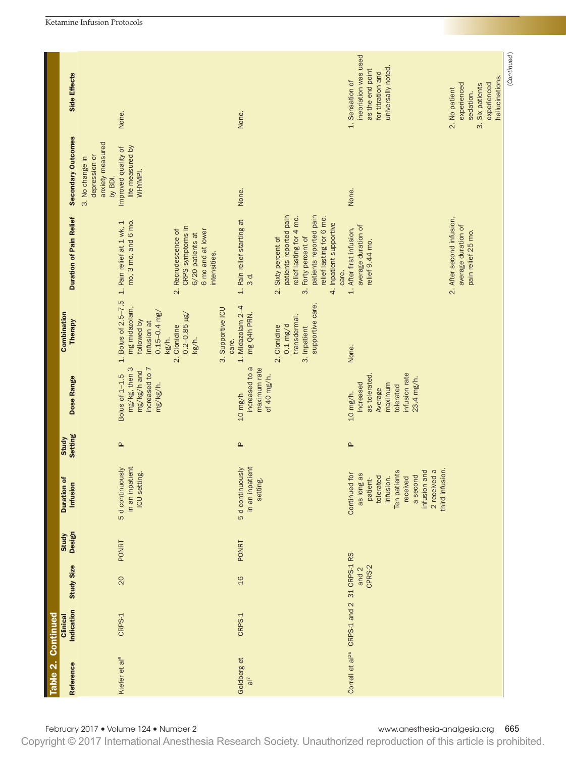|                    |                                  |                                                                                                                       |                                                                                                  |                                                               |                                                                                                                                                                                   |                                                                                                                                                |                                                                                                | (Continued) |
|--------------------|----------------------------------|-----------------------------------------------------------------------------------------------------------------------|--------------------------------------------------------------------------------------------------|---------------------------------------------------------------|-----------------------------------------------------------------------------------------------------------------------------------------------------------------------------------|------------------------------------------------------------------------------------------------------------------------------------------------|------------------------------------------------------------------------------------------------|-------------|
|                    | Side Effects                     | None.                                                                                                                 |                                                                                                  | None.                                                         |                                                                                                                                                                                   | inebriation was used<br>universally noted.<br>as the end point<br>for titration and<br>1. Sensation of                                         | hallucinations.<br>experienced<br>experienced<br>3. Six patients<br>2. No patient<br>sedation. |             |
|                    | Secondary Outcomes               | anxiety measured<br>life measured by<br>Improved quality of<br>depression or<br>3. No change in<br>WHYMPI.<br>by BDI. |                                                                                                  | None.                                                         |                                                                                                                                                                                   | None.                                                                                                                                          |                                                                                                |             |
|                    | <b>Duration of Pain Relief</b>   | mo, 3 mo, and 6 mo.<br>1. Pain relief at 1 wk, 1                                                                      | CRPS symptoms in<br>2. Recrudescence of<br>6 mo and at lower<br>6/20 patients at<br>intensities. | 1. Pain relief starting at<br>3 d.                            | patients reported pain<br>patients reported pain<br>relief lasting for 4 mo.<br>relief lasting for 6 mo.<br>4. Inpatient supportive<br>3. Forty percent of<br>2. Sixty percent of | average duration of<br>1. After first infusion,<br>relief 9.44 mo.<br>care.                                                                    | 2. After second infusion,<br>average duration of<br>pain relief 25 mo.                         |             |
|                    | Combination<br>Therapy           | 1. Bolus of $2.5 - 7.5$<br>mg midazolam,<br>followed by                                                               | $0.15 - 0.4$ mg/<br>$0.2 - 0.85 \mu g$<br>infusion at<br>2. Clonidine<br>kg/h.<br>kg/h.          | 1. Midazolam 2-4<br>3. Supportive ICU<br>mg Q4h PRN.<br>care. | supportive care.<br>transdermal.<br>$0.1$ mg/d<br>2. Clonidine<br>3. Inpatient                                                                                                    | None.                                                                                                                                          |                                                                                                |             |
|                    | Dose Range                       | mg/kg, then 3<br>mg/kg/h and<br>Bolus of 1-1.5                                                                        | increased to 7<br>mg/kg/h.                                                                       | increased to a<br>maximum rate<br>$10$ mg/h                   | of 40 mg/h.                                                                                                                                                                       | infusion rate<br>as tolerated<br>23.4 mg/h.<br>Increased<br>maximum<br>tolerated<br>Average<br>10 mg/h.                                        |                                                                                                |             |
|                    | <b>Setting</b><br><b>Study</b>   | $\triangleq$                                                                                                          |                                                                                                  | $\triangleq$                                                  |                                                                                                                                                                                   | $\triangleq$                                                                                                                                   |                                                                                                |             |
|                    | ð<br>Infusion<br><b>Duration</b> | in an inpatient<br>5 d continuously<br>ICU setting.                                                                   |                                                                                                  | in an inpatient<br>5 d continuously<br>setting.               |                                                                                                                                                                                   | 2 received a<br>Ten patients<br>infusion and<br>l for<br>as long as<br>a second<br>tolerated<br>infusion.<br>patient-<br>received<br>Continued | third infusion.                                                                                |             |
|                    | <b>Design</b><br>Study           | <b>PONRT</b>                                                                                                          |                                                                                                  | <b>PONRT</b>                                                  |                                                                                                                                                                                   |                                                                                                                                                |                                                                                                |             |
|                    | <b>Study Size</b>                | 20                                                                                                                    |                                                                                                  | 16                                                            |                                                                                                                                                                                   | 31 CRPS-1 RS<br>CPRS-2<br>and 2                                                                                                                |                                                                                                |             |
|                    | Indication<br>Clinical           | CRPS-1                                                                                                                |                                                                                                  | CRPS-1                                                        |                                                                                                                                                                                   | CRPS-1 and 2                                                                                                                                   |                                                                                                |             |
| Table 2. Continued | Reference                        | Kiefer et al <sup>6</sup>                                                                                             |                                                                                                  | Goldberg et<br>$\overline{a}$                                 |                                                                                                                                                                                   | Correll et al <sup>26</sup>                                                                                                                    |                                                                                                |             |
|                    |                                  | February 2017 . Volume 124 . Number 2                                                                                 |                                                                                                  |                                                               |                                                                                                                                                                                   | www.anesthesia-analgesia.org                                                                                                                   |                                                                                                | 665         |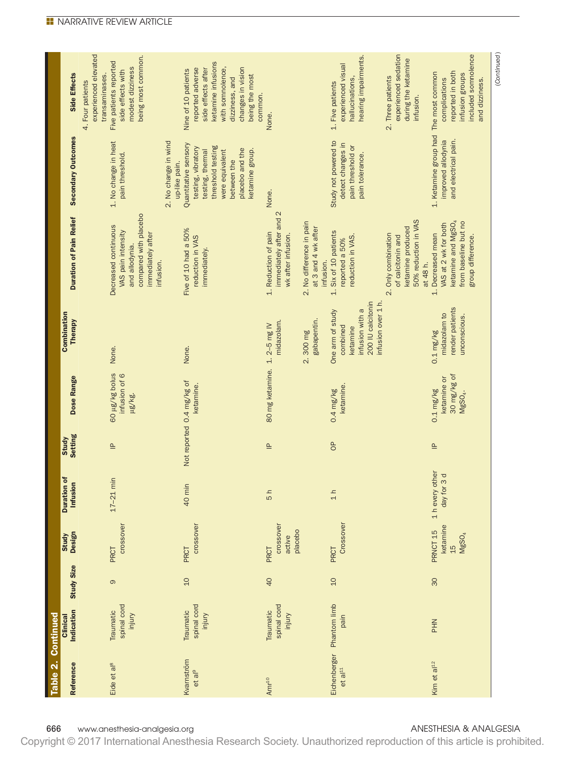| Table 2. Continued                   |                                    |                   |                                                            |                                  |                         |                                                        |                                                                                        |                                                                                                                                      |                                                                                                                                                                |                                                                                                                                                     |
|--------------------------------------|------------------------------------|-------------------|------------------------------------------------------------|----------------------------------|-------------------------|--------------------------------------------------------|----------------------------------------------------------------------------------------|--------------------------------------------------------------------------------------------------------------------------------------|----------------------------------------------------------------------------------------------------------------------------------------------------------------|-----------------------------------------------------------------------------------------------------------------------------------------------------|
| Reference                            | Indication<br>Clinical             | <b>Study Size</b> | Design<br>Study                                            | ŏ<br>Infusion<br><b>Duration</b> | <b>Setting</b><br>Study | Dose Range                                             | Combination<br><b>Therapy</b>                                                          | <b>Duration of Pain Relief</b>                                                                                                       | <b>Secondary Outcomes</b>                                                                                                                                      | Side Effects                                                                                                                                        |
| Eide et al <sup>8</sup>              | spinal cord<br>Traumatic<br>injury | $\circ$           | crossover<br>PRCT                                          | $17-21$ min                      | $\triangleq$            | 60 µg/kg bolus<br>infusion of 6<br>µg/kg.              | None.                                                                                  | compared with placebo<br>Decreased continuous<br>VAS pain intensity<br>immediately after<br>and allodynia.                           | 1. No change in heat<br>pain threshold.                                                                                                                        | experienced elevated<br>being most common.<br>Five patients reported<br>modest dizziness<br>side effects with<br>transaminases.<br>4. Four patients |
| Kvarnström<br>et al <sup>9</sup>     | spinal cord<br>Traumatic<br>injury | 10                | crossover<br>PRCT                                          | 40 min                           |                         | Not reported 0.4 mg/kg of<br>ketamine.                 | None.                                                                                  | Five of 10 had a 50%<br>reduction in VAS<br>immediately.<br>infusion.                                                                | 2. No change in wind<br>Quantitative sensory<br>threshold testing<br>testing, vibratory<br>testing, thermal<br>were equivalent<br>between the<br>up-like pain. | ketamine infusions<br>with somnolence,<br>reported adverse<br>side effects after<br>Nine of 10 patients<br>dizziness, and                           |
| Amr <sup>10</sup>                    | spinal cord<br>Traumatic<br>injury | 40                | crossover<br>placebo<br>active<br>PRCT                     | 5h                               | $\triangleq$            | 80 mg ketamine. 1.2-5 mg IV                            | midazolam.                                                                             | immediately after and 2<br>1. Reduction of pain<br>wk after infusion.                                                                | placebo and the<br>ketamine group.<br>None.                                                                                                                    | changes in vision<br>being the most<br>common.<br>None.                                                                                             |
| Eichenberger<br>${\rm et\, al^{11}}$ | Phantom limb<br>pain               | 10                | Crossover<br>PRCT                                          | $\frac{1}{1}$                    | $\sigma$                | ketamine.<br>$0.4$ mg/kg                               | infusion with a<br>One arm of study<br>gabapentin.<br>combined<br>ketamine<br>2.300 mg | 2. No difference in pain<br>at 3 and 4 wk after<br>1. Six of 10 patients<br>reduction in VAS.<br>reported a 50%<br>infusion.         | Study not powered to<br>detect changes in<br>pain threshold or<br>pain tolerance.                                                                              | hearing impairments.<br>experienced visual<br>hallucinations,<br>1. Five patients                                                                   |
|                                      |                                    |                   |                                                            |                                  |                         |                                                        | 200 IU calcitonin<br>infusion over 1 h.                                                | 50% reduction in VAS<br>ketamine produced<br>2. Only combination<br>of calcitonin and                                                |                                                                                                                                                                | experienced sedation<br>during the ketamine<br>2. Three patients<br>infusion.                                                                       |
| Kim et al <sup>12</sup>              | <b>PHN</b>                         | 30                | ketamine<br>PRNCT <sub>15</sub><br>MgSO <sub>4</sub><br>15 | 1 h every other<br>3d<br>day for | $\triangleq$            | 30 mg/kg of<br>ketamine or<br>$0.1$ mg/kg<br>$MgSO4$ . | render patients<br>midazolam to<br>unconscious.<br>$0.1$ mg/kg                         | ketamine and MgSO <sub>4</sub><br>from baseline but no<br>VAS at 2 wk for both<br>1. Decreased mean<br>group difference.<br>at 48 h. | 1. Ketamine group had The most common<br>and electrical pain.<br>improved allodynia                                                                            | included somnolence<br>reported in both<br>infusion groups<br>complications<br>and dizziness.                                                       |
|                                      |                                    |                   |                                                            |                                  |                         |                                                        |                                                                                        |                                                                                                                                      |                                                                                                                                                                | (Continued)                                                                                                                                         |

666 www.anesthesia-analgesia.org and analysis and analysis of the state of the state and analysis and analysis and analysis and analysis and analysis and analysis and analysis and analysis and analysis and analysis and ana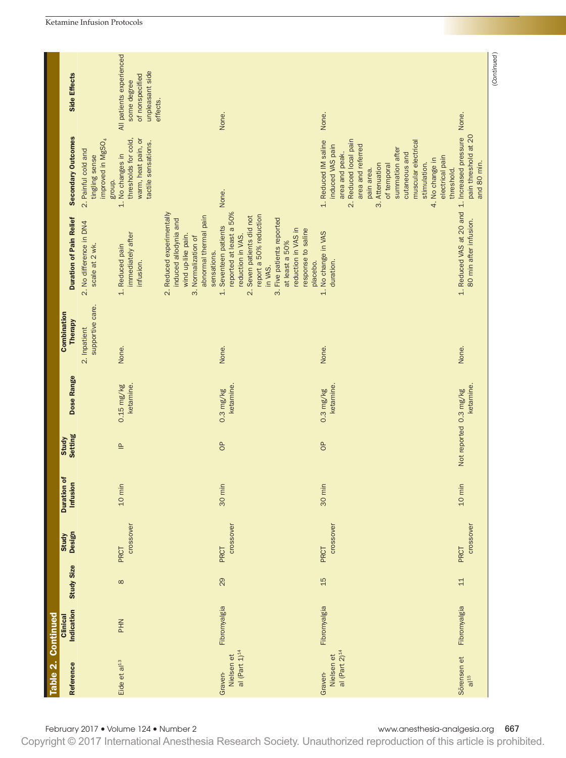| Side Effects<br>Secondary Outcomes<br>2. Painful cold and<br>tingling sense | All patients experienced<br>unpleasant side<br>of nonspecified<br>some degree<br>thresholds for cold,<br>warm, heat pain, or<br>improved in MgSO <sub>4</sub><br>tactile sensations.<br>No changes in | effects.                                                                                                                                | None.                                                                                                                                                                                                                                                                                    | None.<br>Reduced local pain<br>1. Reduced IM saline<br>area and referred<br>induced VAS pain<br>summation after<br>area and peak.<br>cutaneous and | muscular electrical<br>electrical pain<br>No change in | None.<br>pain threshold at 20                                                           |
|-----------------------------------------------------------------------------|-------------------------------------------------------------------------------------------------------------------------------------------------------------------------------------------------------|-----------------------------------------------------------------------------------------------------------------------------------------|------------------------------------------------------------------------------------------------------------------------------------------------------------------------------------------------------------------------------------------------------------------------------------------|----------------------------------------------------------------------------------------------------------------------------------------------------|--------------------------------------------------------|-----------------------------------------------------------------------------------------|
| <b>Duration of Pain Relief</b><br>2. No difference in DN4<br>scale at 2 wk. | group.<br>$\overline{a}$<br>immediately after<br>1. Reduced pain<br>infusion.                                                                                                                         | 2. Reduced experimentally<br>abnormal thermal pain<br>induced allodynia and<br>wind up-like pain.<br>3. Normalization of<br>sensations. | None.<br>reported at least a 50%<br>report a 50% reduction<br>Seven patients did not<br>3. Five patients reported<br>Seventeen patients<br>reduction in VAS in<br>response to saline<br>reduction in VAS.<br>at least a 50%<br>placebo.<br>in VAS.<br>$\div$<br>$\overline{\mathcal{N}}$ | 3. Attenuation<br>of temporal<br>pain area.<br>$\overline{\mathcal{N}}$<br>1. No change in VAS<br>duration.                                        | stimulation.<br>threshold.<br>4.                       | 1. Reduced VAS at 20 and 1. Increased pressure<br>and 80 min.<br>80 min after infusion. |
| supportive care.<br>Combination<br>Therapy<br>2. Inpatient                  | None.                                                                                                                                                                                                 |                                                                                                                                         | None.                                                                                                                                                                                                                                                                                    | None.                                                                                                                                              |                                                        | None.                                                                                   |
| Dose Range                                                                  | $0.15$ mg/kg<br>ketamine.                                                                                                                                                                             |                                                                                                                                         | ketamine<br>$0.3$ mg/kg                                                                                                                                                                                                                                                                  | ketamine<br>$0.3 \text{ mg/kg}$                                                                                                                    |                                                        | ketamine<br>Not reported 0.3 mg/kg                                                      |
| Study<br>Setting                                                            | $\triangleq$                                                                                                                                                                                          |                                                                                                                                         | $\theta$                                                                                                                                                                                                                                                                                 | $\sigma$                                                                                                                                           |                                                        |                                                                                         |
| ៵<br>Infusion<br><b>Duration</b>                                            | $10 \text{ min}$                                                                                                                                                                                      |                                                                                                                                         | 30 min                                                                                                                                                                                                                                                                                   | 30 min                                                                                                                                             |                                                        | $10 \text{ min}$                                                                        |
| Study<br>Design                                                             | crossover<br>PRCT                                                                                                                                                                                     |                                                                                                                                         | crossover<br>PRCT                                                                                                                                                                                                                                                                        | crossover<br>PRCT                                                                                                                                  |                                                        | crossover<br>PRCT                                                                       |
| <b>Study Size</b>                                                           | $\infty$                                                                                                                                                                                              |                                                                                                                                         | 29                                                                                                                                                                                                                                                                                       | 15                                                                                                                                                 |                                                        | $11$                                                                                    |
| Indication<br>Clinical                                                      | <b>PHN</b>                                                                                                                                                                                            |                                                                                                                                         | Fibromyalgia                                                                                                                                                                                                                                                                             | Fibromyalgia                                                                                                                                       |                                                        | Fibromyalgia                                                                            |
| Reference                                                                   | Eide et al <sup>13</sup>                                                                                                                                                                              |                                                                                                                                         | al (Part $1)^{14}$<br>Nielsen et<br><b>Graven-</b>                                                                                                                                                                                                                                       | al (Part $2)^{14}$<br>Nielsen et<br>Graven-                                                                                                        |                                                        | Sörensen et<br>al <sup>15</sup>                                                         |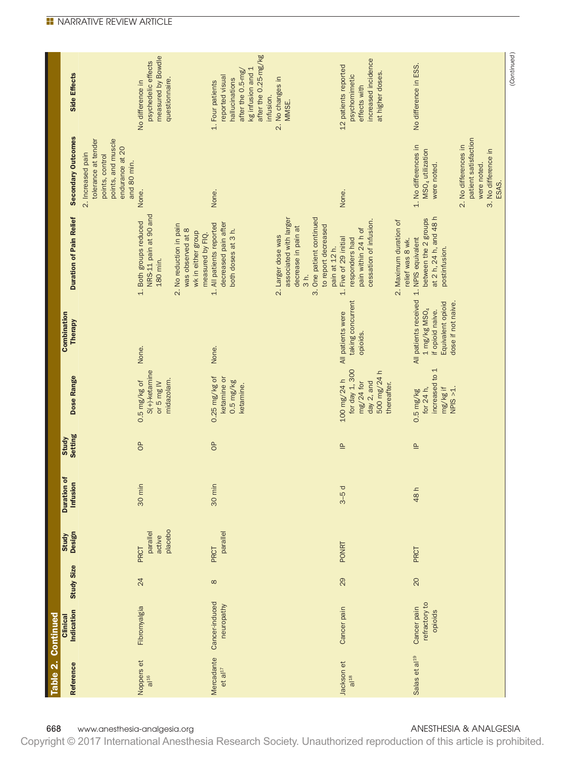| after the 0.25-mg/kg<br>measured by Bowdle<br>increased incidence<br>psychedelic effects<br>No difference in ESS.<br>12 patients reported<br>kg infusion and 1<br>after the 0.5-mg/<br>at higher doses.<br>Side Effects<br>psychomimetic<br>reported visual<br>2. No changes in<br>hallucinations<br>questionnaire.<br>No difference in<br>1. Four patients<br>effects with<br>infusion.<br>MMSE.<br><b>Secondary Outcomes</b><br>patient satisfaction<br>points, and muscle<br>tolerance at tender<br>1. No differences in<br>2. No differences in<br>endurance at 20<br>MSO <sub>4</sub> utilization<br>3. No difference in<br>2. Increased pain<br>points, control<br>and 80 min.<br>were noted.<br>were noted.<br>ESAS.<br>None.<br>None.<br>None.<br>NRS-11 pain at 90 and<br>at 2 h, 24 h, and 48 h<br><b>Duration of Pain Relief</b><br>associated with larger<br>3. One patient continued<br>between the 2 groups<br>cessation of infusion.<br>2. Maximum duration of<br>1. Both groups reduced<br>decreased pain after<br>1. All patients reported<br>2. No reduction in pain<br>to report decreased<br>decrease in pain at<br>pain within 24 h of<br>was observed at 8<br>both doses at 3 h.<br>wk in either group<br>measured by FIQ.<br>2. Larger dose was<br>Five of 29 initial<br>1. NPIS equivalent<br>responders had<br>relief was 8 wk.<br>pain at 12 h.<br>postinfusion.<br>180 min.<br>$\frac{1}{3}h.$<br>$\div$<br>All patients received<br>taking concurrent<br>Equivalent opioid<br>dose if not naive.<br>1 mg/kg $MSO4$<br>if opioid naive.<br>All patients were<br><b>Therapy</b><br>opioids.<br>None.<br>None.<br>increased to 1<br>for day 1, 300<br>500 mg/24 h<br>$S(+)$ -ketamine<br>Dose Range<br>$0.25$ mg/kg of<br>ketamine or<br>100 mg/24 h<br>midazolam.<br>$0.5 \text{ mg/kg}$<br>$0.5$ mg/kg of<br>or 5 mg IV<br>day 2, and<br>$mg/24$ for<br>thereafter.<br>ketamine.<br>mg/kg if<br>for 24 h,<br>$NPIS > 1$ .<br>$0.5 \text{ mg/kg}$<br>$\theta$<br>$\sigma$<br>$\triangleq$<br>$\triangleq$<br>Infusion<br>30 min<br>30 min<br>$3-5d$<br>48 h<br>placebo<br>parallel<br>parallel<br>active<br>PONRT<br>PRCT<br>PRCT<br>PRCT |                                         | Table 2. Continued<br>Clinical |          |                        | $\mathbf{r}$<br><b>Duration</b> |                         | Combination |  |  |
|---------------------------------------------------------------------------------------------------------------------------------------------------------------------------------------------------------------------------------------------------------------------------------------------------------------------------------------------------------------------------------------------------------------------------------------------------------------------------------------------------------------------------------------------------------------------------------------------------------------------------------------------------------------------------------------------------------------------------------------------------------------------------------------------------------------------------------------------------------------------------------------------------------------------------------------------------------------------------------------------------------------------------------------------------------------------------------------------------------------------------------------------------------------------------------------------------------------------------------------------------------------------------------------------------------------------------------------------------------------------------------------------------------------------------------------------------------------------------------------------------------------------------------------------------------------------------------------------------------------------------------------------------------------------------------------------------------------------------------------------------------------------------------------------------------------------------------------------------------------------------------------------------------------------------------------------------------------------------------------------------------------------------------------------------------------------------------------------------------------------------------------------------------------------|-----------------------------------------|--------------------------------|----------|------------------------|---------------------------------|-------------------------|-------------|--|--|
|                                                                                                                                                                                                                                                                                                                                                                                                                                                                                                                                                                                                                                                                                                                                                                                                                                                                                                                                                                                                                                                                                                                                                                                                                                                                                                                                                                                                                                                                                                                                                                                                                                                                                                                                                                                                                                                                                                                                                                                                                                                                                                                                                                     | <b>Study Size</b><br>Indication         |                                |          | <b>Study</b><br>Design |                                 | <b>Study</b><br>Setting |             |  |  |
|                                                                                                                                                                                                                                                                                                                                                                                                                                                                                                                                                                                                                                                                                                                                                                                                                                                                                                                                                                                                                                                                                                                                                                                                                                                                                                                                                                                                                                                                                                                                                                                                                                                                                                                                                                                                                                                                                                                                                                                                                                                                                                                                                                     |                                         |                                |          |                        |                                 |                         |             |  |  |
|                                                                                                                                                                                                                                                                                                                                                                                                                                                                                                                                                                                                                                                                                                                                                                                                                                                                                                                                                                                                                                                                                                                                                                                                                                                                                                                                                                                                                                                                                                                                                                                                                                                                                                                                                                                                                                                                                                                                                                                                                                                                                                                                                                     | 24<br>Fibromyalgia                      |                                |          |                        |                                 |                         |             |  |  |
|                                                                                                                                                                                                                                                                                                                                                                                                                                                                                                                                                                                                                                                                                                                                                                                                                                                                                                                                                                                                                                                                                                                                                                                                                                                                                                                                                                                                                                                                                                                                                                                                                                                                                                                                                                                                                                                                                                                                                                                                                                                                                                                                                                     | Cancer-induced<br>neuropathy            |                                | $\infty$ |                        |                                 |                         |             |  |  |
|                                                                                                                                                                                                                                                                                                                                                                                                                                                                                                                                                                                                                                                                                                                                                                                                                                                                                                                                                                                                                                                                                                                                                                                                                                                                                                                                                                                                                                                                                                                                                                                                                                                                                                                                                                                                                                                                                                                                                                                                                                                                                                                                                                     |                                         |                                |          |                        |                                 |                         |             |  |  |
|                                                                                                                                                                                                                                                                                                                                                                                                                                                                                                                                                                                                                                                                                                                                                                                                                                                                                                                                                                                                                                                                                                                                                                                                                                                                                                                                                                                                                                                                                                                                                                                                                                                                                                                                                                                                                                                                                                                                                                                                                                                                                                                                                                     | 29<br>Cancer pain                       |                                |          |                        |                                 |                         |             |  |  |
|                                                                                                                                                                                                                                                                                                                                                                                                                                                                                                                                                                                                                                                                                                                                                                                                                                                                                                                                                                                                                                                                                                                                                                                                                                                                                                                                                                                                                                                                                                                                                                                                                                                                                                                                                                                                                                                                                                                                                                                                                                                                                                                                                                     | refractory to<br>Cancer pain<br>opioids |                                | 20       |                        |                                 |                         |             |  |  |
|                                                                                                                                                                                                                                                                                                                                                                                                                                                                                                                                                                                                                                                                                                                                                                                                                                                                                                                                                                                                                                                                                                                                                                                                                                                                                                                                                                                                                                                                                                                                                                                                                                                                                                                                                                                                                                                                                                                                                                                                                                                                                                                                                                     |                                         |                                |          |                        |                                 |                         |             |  |  |

668 www.anesthesia-analgesia.org and analysis and analysis of the state of the state and analysis and analysis and analysis and analysis and analysis and analysis and analysis and analysis and analysis and analysis and ana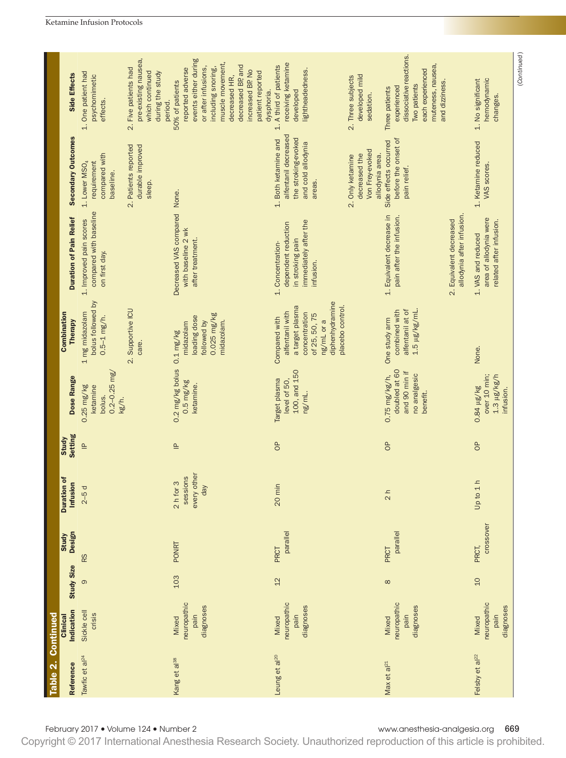|                    |                                |                                                                         |                                                                                                |                                                                                                                                                                                                                         |                                                                                                                                                             |                                                                                                                                     | (Continued)                                                             |
|--------------------|--------------------------------|-------------------------------------------------------------------------|------------------------------------------------------------------------------------------------|-------------------------------------------------------------------------------------------------------------------------------------------------------------------------------------------------------------------------|-------------------------------------------------------------------------------------------------------------------------------------------------------------|-------------------------------------------------------------------------------------------------------------------------------------|-------------------------------------------------------------------------|
|                    | Side Effects                   | 1. One patient had<br>psychomimetic<br>effects.                         | pre-existing nausea,<br>2. Five patients had<br>which continued<br>during the study<br>period. | events either during<br>muscle movement,<br>decreased BP, and<br>or after infusions,<br>including snoring,<br>reported adverse<br>increased BP No<br>patient reported<br>decreased HR,<br>50% of patients<br>dysphoria. | receiving ketamine<br>A third of patients<br>lightheadedness.<br>developed mild<br>2. Three subjects<br>developed<br>sedation.<br>$\div$                    | dissociative reactions.<br>muteness, nausea,<br>each experienced<br>and dizziness.<br>Two patients<br>experienced<br>Three patients | hemodynamic<br>1. No significant<br>changes.                            |
|                    | Secondary Outcomes             | compared with<br>1. Lower MSO <sub>4</sub><br>requirement<br>baseline.  | Patients reported<br>durable improved<br>sleep.<br>$\overline{\mathcal{N}}$                    |                                                                                                                                                                                                                         | alfentanil decreased<br>1. Both ketamine and<br>the stroking-evoked<br>and cold allodynia<br>Von Frey-evoked<br>decreased the<br>2. Only ketamine<br>areas. | before the onset of<br>Side effects occurred<br>allodynia area.<br>pain relief.                                                     | 1. Ketamine reduced<br>VAS scores.                                      |
|                    | <b>Duration of Pain Relief</b> | compared with baseline<br>1. Improved pain scores<br>on first day.      |                                                                                                | Decreased VAS compared None.<br>with baseline 2 wk<br>after treatment.                                                                                                                                                  | immediately after the<br>dependent reduction<br>in stroking pain<br>1. Concentration-<br>infusion.                                                          | allodynia after infusion.<br>1. Equivalent decrease in<br>pain after the infusion.<br>2. Equivalent decreased                       | area of allodynia were<br>related after infusion.<br>1. VAS and reduced |
|                    | Combination<br><b>Therapy</b>  | bolus followed by<br>1 mg midazolam<br>$0.5 - 1$ mg/h.                  | 2. Supportive ICU<br>care.                                                                     | 0.025 mg/kg<br>loading dose<br>midazolam.<br>followed by<br>midazolam                                                                                                                                                   | diphenhydramine<br>placebo control.<br>a target plasma<br>alfentanil with<br>concentration<br>of 25, 50, 75<br>Compared with<br>ng/mL or a                  | combined with<br>alfentanil at of<br>$1.5 \ \mu g/kg/mL$<br>One study arm                                                           | None.                                                                   |
|                    | Dose Range                     | $0.2 - 0.25$ mg/<br>$0.25 \text{ mg/kg}$<br>ketamine<br>bolus.<br>kg/h. |                                                                                                | $0.2$ mg/kg bolus $0.1$ mg/kg<br>$0.5 \text{ mg/kg}$<br>ketamine.                                                                                                                                                       | 100, and 150<br>Target plasma<br>level of 50,<br>ng/mL.                                                                                                     | doubled at 60<br>and 90 min if<br>no analgesic<br>$0.75$ mg/kg/h,<br>benefit.                                                       | over 10 min;<br>$1.3 \mu g/kg/h$<br>$0.84$ $\mu$ g/kg<br>infusion.      |
|                    | <b>Setting</b><br>Study        | $\triangleq$                                                            |                                                                                                | $\triangleq$                                                                                                                                                                                                            | $\sigma$                                                                                                                                                    | $\sigma$                                                                                                                            | $\sigma$                                                                |
|                    | <b>Duration of</b><br>Infusion | $2-5d$                                                                  |                                                                                                | every other<br>sessions<br>$2 h$ for 3<br>day                                                                                                                                                                           | 20 min                                                                                                                                                      | $\frac{1}{2}h$                                                                                                                      | Up to 1 h                                                               |
|                    | <b>Design</b><br>Study         | R <sub>S</sub>                                                          |                                                                                                | <b>PONRT</b>                                                                                                                                                                                                            | parallel<br>PRCT                                                                                                                                            | parallel<br>PRCT                                                                                                                    | crossover<br>PRCT,                                                      |
|                    | <b>Study Size</b>              | ၜ                                                                       |                                                                                                | 103                                                                                                                                                                                                                     | 12                                                                                                                                                          | $\infty$                                                                                                                            | 10                                                                      |
|                    | Indication<br>Clinical         | Sickle cell<br>crisis                                                   |                                                                                                | neuropathic<br>diagnoses<br>pain<br>Mixed                                                                                                                                                                               | neuropathic<br>diagnoses<br>pain<br>Mixed                                                                                                                   | neuropathic<br>diagnoses<br>pain<br>Mixed                                                                                           | neuropathic<br>diagnoses<br>pain<br>Mixed                               |
| Table 2. Continued | Reference                      | Tawfic et al <sup>24</sup>                                              |                                                                                                | Kang et al <sup>38</sup>                                                                                                                                                                                                | Leung et al <sup>20</sup>                                                                                                                                   | Max et al <sup>21</sup>                                                                                                             | Felsby et al <sup>22</sup>                                              |
|                    |                                | February 2017 . Volume 124 . Number 2                                   |                                                                                                |                                                                                                                                                                                                                         |                                                                                                                                                             | www.anesthesia-analgesia.org                                                                                                        | 669                                                                     |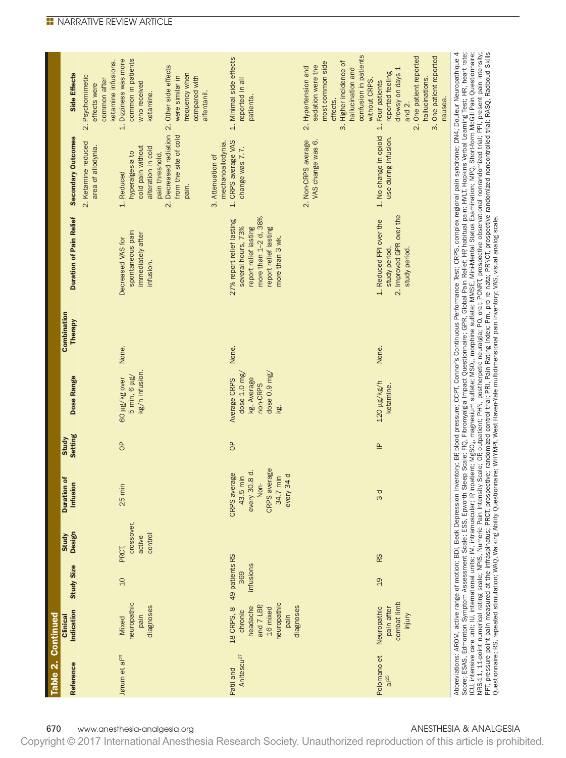| Table 2. Continued                  |                                                                                                               |                   |                                          |                                                                                                       |                         |                                                                                                   |                               |                                                                                                                                                                                                                                                                                                                                                                                                                                                                                                                                                                                                                       |                                                                                                                                                         |                                                                                                                                                                                        |
|-------------------------------------|---------------------------------------------------------------------------------------------------------------|-------------------|------------------------------------------|-------------------------------------------------------------------------------------------------------|-------------------------|---------------------------------------------------------------------------------------------------|-------------------------------|-----------------------------------------------------------------------------------------------------------------------------------------------------------------------------------------------------------------------------------------------------------------------------------------------------------------------------------------------------------------------------------------------------------------------------------------------------------------------------------------------------------------------------------------------------------------------------------------------------------------------|---------------------------------------------------------------------------------------------------------------------------------------------------------|----------------------------------------------------------------------------------------------------------------------------------------------------------------------------------------|
| Reference                           | Indication<br>Clinical                                                                                        | <b>Study Size</b> | <b>Design</b><br><b>Study</b>            | <b>Duration of</b><br>Infusion                                                                        | <b>Setting</b><br>Study | Dose Range                                                                                        | Combination<br><b>Therapy</b> | <b>Duration of Pain Relief</b>                                                                                                                                                                                                                                                                                                                                                                                                                                                                                                                                                                                        | <b>Secondary Outcomes</b>                                                                                                                               | Side Effects                                                                                                                                                                           |
|                                     |                                                                                                               |                   |                                          |                                                                                                       |                         |                                                                                                   |                               |                                                                                                                                                                                                                                                                                                                                                                                                                                                                                                                                                                                                                       | 2. Ketamine reduced<br>area of allodynia.                                                                                                               | ketamine infusions.<br>2. Psychomimetic<br>common after<br>effects were                                                                                                                |
| Jørum et al <sup>23</sup>           | neuropathic<br>diagnoses<br>pain<br>Mixed                                                                     | 10                | crossover,<br>control<br>active<br>PRCT, | 25 min                                                                                                | $\sigma$                | kg/h infusion.<br>$5 \text{ min}, 6 \mu$ g/<br>60 µg/kg over                                      | None.                         | spontaneous pain<br>immediately after<br>Decreased VAS for<br>infusion.                                                                                                                                                                                                                                                                                                                                                                                                                                                                                                                                               | 2. Decreased radiation<br>from the site of cold<br>cold pain without<br>alteration in cold<br>hyperalgesia to<br>pain threshold.<br>1. Reduced<br>pain. | common in patients<br>1. Dizziness was more<br>2. Other side effects<br>frequency when<br>were similar in<br>compared with<br>who received<br>alfentanil.<br>ketamine.                 |
| Anitescu <sup>27</sup><br>Patil and | 18 CRPS, 8 49 patients RS<br>neuropathic<br>and 7 LBP<br>headache<br>diagnoses<br>16 mixed<br>chronic<br>pain | infusions<br>369  |                                          | CRPS average<br>$\vec{c}$<br>CRPS average<br>every 34 d<br>43.5 min<br>34.7 min<br>every 30.8<br>Non- | $\sigma$                | dose $0.9 \text{ mg}/$<br>dose $1.0 \text{ mg}$<br>kg. Average<br>Average CRPS<br>non-CRPS<br>kg. | None.                         | more than 1-2 d, 38%<br>27% report relief lasting<br>several hours, 73%<br>report relief lasting<br>report relief lasting<br>more than 3 wk.                                                                                                                                                                                                                                                                                                                                                                                                                                                                          | 1. CRPS average VAS<br>mechanoallodynia.<br>change was 7.7.<br>3. Attenuation of                                                                        | 1. Minimal side effects<br>reported in all<br>patients.                                                                                                                                |
|                                     |                                                                                                               |                   |                                          |                                                                                                       |                         |                                                                                                   |                               |                                                                                                                                                                                                                                                                                                                                                                                                                                                                                                                                                                                                                       | VAS change was 6.<br>2. Non-CRPS average                                                                                                                | confusion in patients<br>3. Higher incidence of<br>most common side<br>sedation were the<br>2. Hypertension and<br>hallucination and<br>without CRPS.<br>effects.                      |
| Polomano et<br>$a$ <sub>25</sub>    | combat limb<br>pain after<br>Neuropathic<br>injury                                                            | 19                | R <sub>S</sub>                           | 3d                                                                                                    | $\triangleq$            | 120 µg/kg/h<br>ketamine.                                                                          | None.                         | 2. Improved GPR over the<br>1. Reduced PPI over the<br>study period.<br>study period.                                                                                                                                                                                                                                                                                                                                                                                                                                                                                                                                 | 1. No change in opioid<br>use during infusion.                                                                                                          | 3. One patient reported<br>One patient reported<br>drowsy on days 1<br>reported feeling<br>hallucinations.<br>Four patients<br>nausea.<br>and 2.<br>$\overline{\mathcal{N}}$<br>$\div$ |
|                                     |                                                                                                               |                   |                                          |                                                                                                       |                         |                                                                                                   |                               | Score; ESAS, Edmonton Symptom Assessment Scale; ESS, Epworth Sleep Scale; FIQ, Fibromyalgia Impact Questionnaire; GPR, Global Pain Relief; HP, habitual pain; HVLT, Hopkins Verbal Learning Test; HR, heart rate;<br>ICU, intensi<br>Abbreviations: AROM, active range of motion; BDI, Beck Depression Inventory; BP blood pressure; CCPT, Comor's Continuous Performance Test; CRPS, complex regional pain syndrome; DN4, Douleur Neuropathique 4<br>Questionnaire; RS, repeated stimulation; WAQ, Walking Ability Questionnaire; WHYMPI, West Haven Yale multidimensional pain inventory; VAS, visual analog scale. |                                                                                                                                                         |                                                                                                                                                                                        |

670 www.anesthesia-analgesia.org and annual state of the state of the state of the ANESTHESIA & ANALGESIA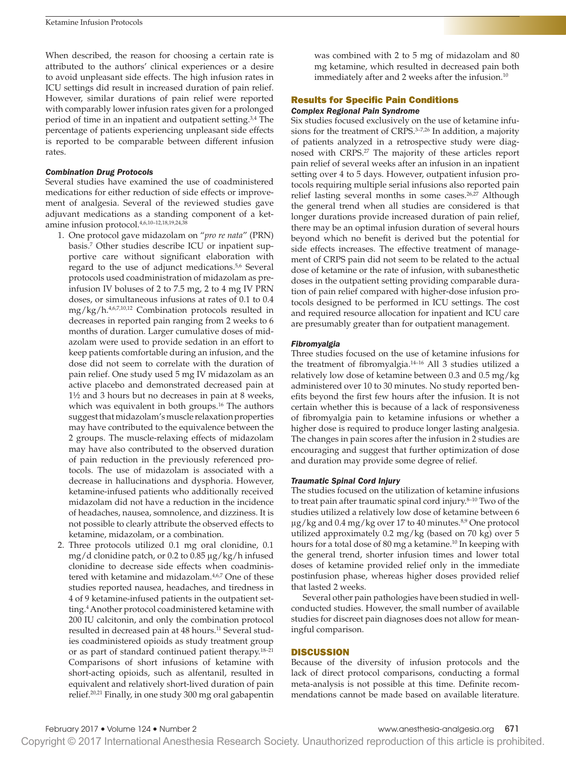When described, the reason for choosing a certain rate is attributed to the authors' clinical experiences or a desire to avoid unpleasant side effects. The high infusion rates in ICU settings did result in increased duration of pain relief. However, similar durations of pain relief were reported with comparably lower infusion rates given for a prolonged period of time in an inpatient and outpatient setting.3,4 The percentage of patients experiencing unpleasant side effects is reported to be comparable between different infusion rates.

### *Combination Drug Protocols*

Several studies have examined the use of coadministered medications for either reduction of side effects or improvement of analgesia. Several of the reviewed studies gave adjuvant medications as a standing component of a ketamine infusion protocol.4,6,10–12,18,19,24,38

- 1. One protocol gave midazolam on "*pro re nata*" (PRN) basis.7 Other studies describe ICU or inpatient supportive care without significant elaboration with regard to the use of adjunct medications.5,6 Several protocols used coadministration of midazolam as preinfusion IV boluses of 2 to 7.5 mg, 2 to 4 mg IV PRN doses, or simultaneous infusions at rates of 0.1 to 0.4 mg/kg/h.4,6,7,10,12 Combination protocols resulted in decreases in reported pain ranging from 2 weeks to 6 months of duration. Larger cumulative doses of midazolam were used to provide sedation in an effort to keep patients comfortable during an infusion, and the dose did not seem to correlate with the duration of pain relief. One study used 5 mg IV midazolam as an active placebo and demonstrated decreased pain at 1½ and 3 hours but no decreases in pain at 8 weeks, which was equivalent in both groups.<sup>16</sup> The authors suggest that midazolam's muscle relaxation properties may have contributed to the equivalence between the 2 groups. The muscle-relaxing effects of midazolam may have also contributed to the observed duration of pain reduction in the previously referenced protocols. The use of midazolam is associated with a decrease in hallucinations and dysphoria. However, ketamine-infused patients who additionally received midazolam did not have a reduction in the incidence of headaches, nausea, somnolence, and dizziness. It is not possible to clearly attribute the observed effects to ketamine, midazolam, or a combination.
- 2. Three protocols utilized 0.1 mg oral clonidine, 0.1 mg/d clonidine patch, or 0.2 to 0.85 μg/kg/h infused clonidine to decrease side effects when coadministered with ketamine and midazolam.<sup>4,6,7</sup> One of these studies reported nausea, headaches, and tiredness in 4 of 9 ketamine-infused patients in the outpatient setting.4 Another protocol coadministered ketamine with 200 IU calcitonin, and only the combination protocol resulted in decreased pain at 48 hours.<sup>11</sup> Several studies coadministered opioids as study treatment group or as part of standard continued patient therapy.18–21 Comparisons of short infusions of ketamine with short-acting opioids, such as alfentanil, resulted in equivalent and relatively short-lived duration of pain relief.20,21 Finally, in one study 300 mg oral gabapentin

was combined with 2 to 5 mg of midazolam and 80 mg ketamine, which resulted in decreased pain both immediately after and 2 weeks after the infusion.<sup>10</sup>

### Results for Specific Pain Conditions

### *Complex Regional Pain Syndrome*

Six studies focused exclusively on the use of ketamine infusions for the treatment of CRPS.<sup>3-7,26</sup> In addition, a majority of patients analyzed in a retrospective study were diagnosed with CRPS.27 The majority of these articles report pain relief of several weeks after an infusion in an inpatient setting over 4 to 5 days. However, outpatient infusion protocols requiring multiple serial infusions also reported pain relief lasting several months in some cases.<sup>26,27</sup> Although the general trend when all studies are considered is that longer durations provide increased duration of pain relief, there may be an optimal infusion duration of several hours beyond which no benefit is derived but the potential for side effects increases. The effective treatment of management of CRPS pain did not seem to be related to the actual dose of ketamine or the rate of infusion, with subanesthetic doses in the outpatient setting providing comparable duration of pain relief compared with higher-dose infusion protocols designed to be performed in ICU settings. The cost and required resource allocation for inpatient and ICU care are presumably greater than for outpatient management.

#### *Fibromyalgia*

Three studies focused on the use of ketamine infusions for the treatment of fibromyalgia.14–16 All 3 studies utilized a relatively low dose of ketamine between 0.3 and 0.5 mg/kg administered over 10 to 30 minutes. No study reported benefits beyond the first few hours after the infusion. It is not certain whether this is because of a lack of responsiveness of fibromyalgia pain to ketamine infusions or whether a higher dose is required to produce longer lasting analgesia. The changes in pain scores after the infusion in 2 studies are encouraging and suggest that further optimization of dose and duration may provide some degree of relief.

# *Traumatic Spinal Cord Injury*

The studies focused on the utilization of ketamine infusions to treat pain after traumatic spinal cord injury.<sup>8-10</sup> Two of the studies utilized a relatively low dose of ketamine between 6  $\mu$ g/kg and 0.4 mg/kg over 17 to 40 minutes.<sup>8,9</sup> One protocol utilized approximately 0.2 mg/kg (based on 70 kg) over 5 hours for a total dose of 80 mg a ketamine.<sup>10</sup> In keeping with the general trend, shorter infusion times and lower total doses of ketamine provided relief only in the immediate postinfusion phase, whereas higher doses provided relief that lasted 2 weeks.

Several other pain pathologies have been studied in wellconducted studies. However, the small number of available studies for discreet pain diagnoses does not allow for meaningful comparison.

### **DISCUSSION**

Because of the diversity of infusion protocols and the lack of direct protocol comparisons, conducting a formal meta-analysis is not possible at this time. Definite recommendations cannot be made based on available literature.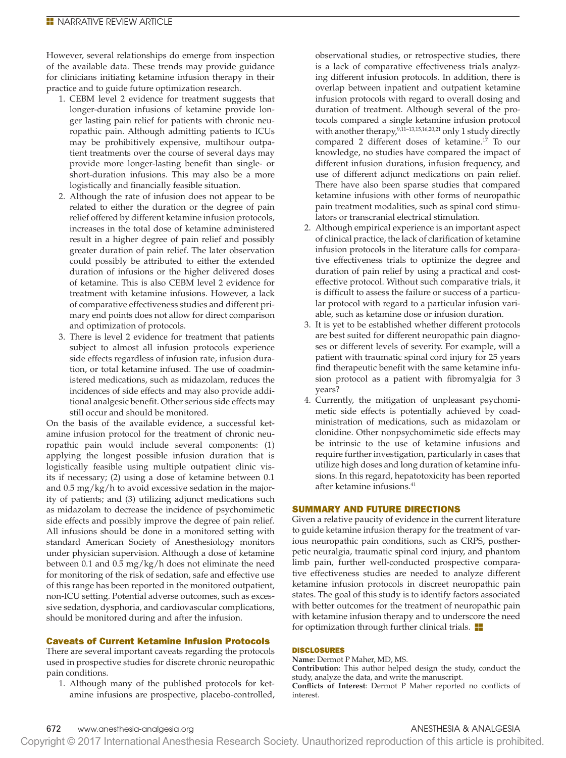However, several relationships do emerge from inspection of the available data. These trends may provide guidance for clinicians initiating ketamine infusion therapy in their practice and to guide future optimization research.

- 1. CEBM level 2 evidence for treatment suggests that longer-duration infusions of ketamine provide longer lasting pain relief for patients with chronic neuropathic pain. Although admitting patients to ICUs may be prohibitively expensive, multihour outpatient treatments over the course of several days may provide more longer-lasting benefit than single- or short-duration infusions. This may also be a more logistically and financially feasible situation.
- 2. Although the rate of infusion does not appear to be related to either the duration or the degree of pain relief offered by different ketamine infusion protocols, increases in the total dose of ketamine administered result in a higher degree of pain relief and possibly greater duration of pain relief. The later observation could possibly be attributed to either the extended duration of infusions or the higher delivered doses of ketamine. This is also CEBM level 2 evidence for treatment with ketamine infusions. However, a lack of comparative effectiveness studies and different primary end points does not allow for direct comparison and optimization of protocols.
- 3. There is level 2 evidence for treatment that patients subject to almost all infusion protocols experience side effects regardless of infusion rate, infusion duration, or total ketamine infused. The use of coadministered medications, such as midazolam, reduces the incidences of side effects and may also provide additional analgesic benefit. Other serious side effects may still occur and should be monitored.

On the basis of the available evidence, a successful ketamine infusion protocol for the treatment of chronic neuropathic pain would include several components: (1) applying the longest possible infusion duration that is logistically feasible using multiple outpatient clinic visits if necessary; (2) using a dose of ketamine between 0.1 and 0.5 mg/kg/h to avoid excessive sedation in the majority of patients; and (3) utilizing adjunct medications such as midazolam to decrease the incidence of psychomimetic side effects and possibly improve the degree of pain relief. All infusions should be done in a monitored setting with standard American Society of Anesthesiology monitors under physician supervision. Although a dose of ketamine between 0.1 and 0.5 mg/kg/h does not eliminate the need for monitoring of the risk of sedation, safe and effective use of this range has been reported in the monitored outpatient, non-ICU setting. Potential adverse outcomes, such as excessive sedation, dysphoria, and cardiovascular complications, should be monitored during and after the infusion.

# Caveats of Current Ketamine Infusion Protocols

There are several important caveats regarding the protocols used in prospective studies for discrete chronic neuropathic pain conditions.

1. Although many of the published protocols for ketamine infusions are prospective, placebo-controlled, observational studies, or retrospective studies, there is a lack of comparative effectiveness trials analyzing different infusion protocols. In addition, there is overlap between inpatient and outpatient ketamine infusion protocols with regard to overall dosing and duration of treatment. Although several of the protocols compared a single ketamine infusion protocol with another therapy,<sup>9,11-13,15,16,20,21</sup> only 1 study directly compared 2 different doses of ketamine.17 To our knowledge, no studies have compared the impact of different infusion durations, infusion frequency, and use of different adjunct medications on pain relief. There have also been sparse studies that compared ketamine infusions with other forms of neuropathic pain treatment modalities, such as spinal cord stimulators or transcranial electrical stimulation.

- 2. Although empirical experience is an important aspect of clinical practice, the lack of clarification of ketamine infusion protocols in the literature calls for comparative effectiveness trials to optimize the degree and duration of pain relief by using a practical and costeffective protocol. Without such comparative trials, it is difficult to assess the failure or success of a particular protocol with regard to a particular infusion variable, such as ketamine dose or infusion duration.
- 3. It is yet to be established whether different protocols are best suited for different neuropathic pain diagnoses or different levels of severity. For example, will a patient with traumatic spinal cord injury for 25 years find therapeutic benefit with the same ketamine infusion protocol as a patient with fibromyalgia for 3 years?
- 4. Currently, the mitigation of unpleasant psychomimetic side effects is potentially achieved by coadministration of medications, such as midazolam or clonidine. Other nonpsychomimetic side effects may be intrinsic to the use of ketamine infusions and require further investigation, particularly in cases that utilize high doses and long duration of ketamine infusions. In this regard, hepatotoxicity has been reported after ketamine infusions.41

# SUMMARY AND FUTURE DIRECTIONS

Given a relative paucity of evidence in the current literature to guide ketamine infusion therapy for the treatment of various neuropathic pain conditions, such as CRPS, postherpetic neuralgia, traumatic spinal cord injury, and phantom limb pain, further well-conducted prospective comparative effectiveness studies are needed to analyze different ketamine infusion protocols in discreet neuropathic pain states. The goal of this study is to identify factors associated with better outcomes for the treatment of neuropathic pain with ketamine infusion therapy and to underscore the need for optimization through further clinical trials.  $\blacksquare$ 

# DISCLOSURES

**Name:** Dermot P Maher, MD, MS. **Contribution**: This author helped design the study, conduct the study, analyze the data, and write the manuscript. **Conflicts of Interest**: Dermot P Maher reported no conflicts of interest.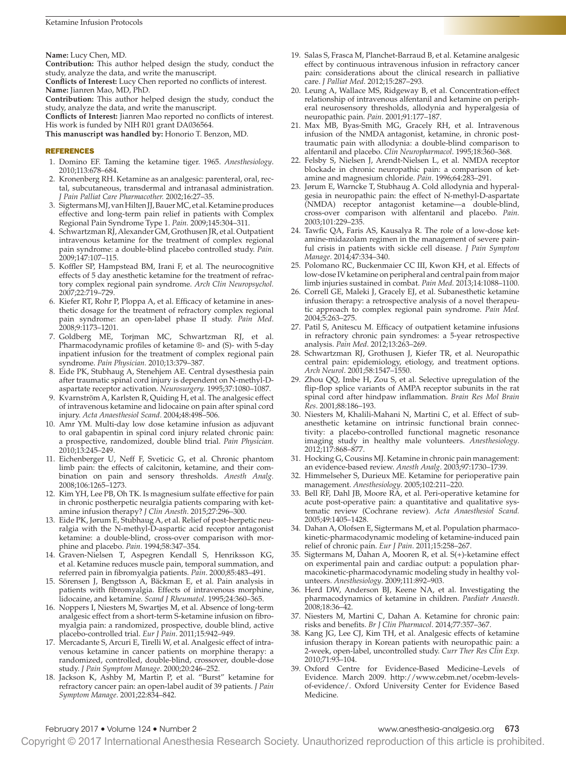**Name:** Lucy Chen, MD.

**Contribution:** This author helped design the study, conduct the study, analyze the data, and write the manuscript.

**Conflicts of Interest:** Lucy Chen reported no conflicts of interest. **Name:** Jianren Mao, MD, PhD.

**Contribution:** This author helped design the study, conduct the study, analyze the data, and write the manuscript.

**Conflicts of Interest:** Jianren Mao reported no conflicts of interest. His work is funded by NIH R01 grant DA036564.

**This manuscript was handled by:** Honorio T. Benzon, MD.

#### REFERENCES

- 1. Domino EF. Taming the ketamine tiger. 1965. *Anesthesiology*. 2010;113:678–684.
- 2. Kronenberg RH. Ketamine as an analgesic: parenteral, oral, rectal, subcutaneous, transdermal and intranasal administration. *J Pain Palliat Care Pharmacother.* 2002;16:27–35.
- 3. Sigtermans MJ, van Hilten JJ, Bauer MC, et al. Ketamine produces effective and long-term pain relief in patients with Complex Regional Pain Syndrome Type 1. *Pain.* 2009;145:304–311.
- 4. Schwartzman RJ, Alexander GM, Grothusen JR, et al. Outpatient intravenous ketamine for the treatment of complex regional pain syndrome: a double-blind placebo controlled study. *Pain.* 2009;147:107–115.
- 5. Koffler SP, Hampstead BM, Irani F, et al. The neurocognitive effects of 5 day anesthetic ketamine for the treatment of refractory complex regional pain syndrome. *Arch Clin Neuropsychol.* 2007;22:719–729.
- 6. Kiefer RT, Rohr P, Ploppa A, et al. Efficacy of ketamine in anesthetic dosage for the treatment of refractory complex regional pain syndrome: an open-label phase II study. *Pain Med*. 2008;9:1173–1201.
- 7. Goldberg ME, Torjman MC, Schwartzman RJ, et al. Pharmacodynamic profiles of ketamine ®- and (S)- with 5-day inpatient infusion for the treatment of complex regional pain syndrome. *Pain Physician.* 2010;13:379–387.
- 8. Eide PK, Stubhaug A, Stenehjem AE. Central dysesthesia pain after traumatic spinal cord injury is dependent on N-methyl-Daspartate receptor activation. *Neurosurgery.* 1995;37:1080–1087.
- 9. Kvarnström A, Karlsten R, Quiding H, et al. The analgesic effect of intravenous ketamine and lidocaine on pain after spinal cord injury. *Acta Anaesthesiol Scand*. 2004;48:498–506.
- 10. Amr YM. Multi-day low dose ketamine infusion as adjuvant to oral gabapentin in spinal cord injury related chronic pain: a prospective, randomized, double blind trial. *Pain Physician.* 2010;13:245–249.
- 11. Eichenberger U, Neff F, Sveticic G, et al. Chronic phantom limb pain: the effects of calcitonin, ketamine, and their combination on pain and sensory thresholds. *Anesth Analg.* 2008;106:1265–1273.
- 12. Kim YH, Lee PB, Oh TK. Is magnesium sulfate effective for pain in chronic postherpetic neuralgia patients comparing with ketamine infusion therapy? *J Clin Anesth*. 2015;27:296–300.
- 13. Eide PK, Jørum E, Stubhaug A, et al. Relief of post-herpetic neuralgia with the N-methyl-D-aspartic acid receptor antagonist ketamine: a double-blind, cross-over comparison with morphine and placebo. *Pain.* 1994;58:347–354.
- 14. Graven-Nielsen T, Aspegren Kendall S, Henriksson KG, et al. Ketamine reduces muscle pain, temporal summation, and referred pain in fibromyalgia patients. *Pain*. 2000;85:483–491.
- 15. Sörensen J, Bengtsson A, Bäckman E, et al. Pain analysis in patients with fibromyalgia. Effects of intravenous morphine, lidocaine, and ketamine. *Scand J Rheumatol*. 1995;24:360–365.
- 16. Noppers I, Niesters M, Swartjes M, et al. Absence of long-term analgesic effect from a short-term S-ketamine infusion on fibromyalgia pain: a randomized, prospective, double blind, active placebo-controlled trial. *Eur J Pain*. 2011;15:942–949.
- 17. Mercadante S, Arcuri E, Tirelli W, et al. Analgesic effect of intravenous ketamine in cancer patients on morphine therapy: a randomized, controlled, double-blind, crossover, double-dose study. *J Pain Symptom Manage*. 2000;20:246–252.
- 18. Jackson K, Ashby M, Martin P, et al. "Burst" ketamine for refractory cancer pain: an open-label audit of 39 patients. *J Pain Symptom Manage*. 2001;22:834–842.
- 19. Salas S, Frasca M, Planchet-Barraud B, et al. Ketamine analgesic effect by continuous intravenous infusion in refractory cancer pain: considerations about the clinical research in palliative care. *J Palliat Med*. 2012;15:287–293.
- 20. Leung A, Wallace MS, Ridgeway B, et al. Concentration-effect relationship of intravenous alfentanil and ketamine on peripheral neurosensory thresholds, allodynia and hyperalgesia of neuropathic pain. *Pain*. 2001;91:177–187.
- 21. Max MB, Byas-Smith MG, Gracely RH, et al. Intravenous infusion of the NMDA antagonist, ketamine, in chronic posttraumatic pain with allodynia: a double-blind comparison to alfentanil and placebo. *Clin Neuropharmacol*. 1995;18:360–368.
- 22. Felsby S, Nielsen J, Arendt-Nielsen L, et al. NMDA receptor blockade in chronic neuropathic pain: a comparison of ketamine and magnesium chloride. *Pain*. 1996;64:283–291.
- 23. Jørum E, Warncke T, Stubhaug A. Cold allodynia and hyperalgesia in neuropathic pain: the effect of N-methyl-D-aspartate (NMDA) receptor antagonist ketamine—a double-blind, cross-over comparison with alfentanil and placebo. *Pain.* 2003;101:229–235.
- 24. Tawfic QA, Faris AS, Kausalya R. The role of a low-dose ketamine-midazolam regimen in the management of severe painful crisis in patients with sickle cell disease. *J Pain Symptom Manage*. 2014;47:334–340.
- 25. Polomano RC, Buckenmaier CC III, Kwon KH, et al. Effects of low-dose IV ketamine on peripheral and central pain from major limb injuries sustained in combat. *Pain Med.* 2013;14:1088–1100.
- 26. Correll GE, Maleki J, Gracely EJ, et al. Subanesthetic ketamine infusion therapy: a retrospective analysis of a novel therapeutic approach to complex regional pain syndrome. *Pain Med.* 2004;5:263–275.
- 27. Patil S, Anitescu M. Efficacy of outpatient ketamine infusions in refractory chronic pain syndromes: a 5-year retrospective analysis. *Pain Med*. 2012;13:263–269.
- 28. Schwartzman RJ, Grothusen J, Kiefer TR, et al. Neuropathic central pain: epidemiology, etiology, and treatment options. *Arch Neurol*. 2001;58:1547–1550.
- 29. Zhou QQ, Imbe H, Zou S, et al. Selective upregulation of the flip-flop splice variants of AMPA receptor subunits in the rat spinal cord after hindpaw inflammation. *Brain Res Mol Brain Res*. 2001;88:186–193.
- 30. Niesters M, Khalili-Mahani N, Martini C, et al. Effect of subanesthetic ketamine on intrinsic functional brain connectivity: a placebo-controlled functional magnetic resonance imaging study in healthy male volunteers. *Anesthesiology*. 2012;117:868–877.
- 31. Hocking G, Cousins MJ. Ketamine in chronic pain management: an evidence-based review. *Anesth Analg*. 2003;97:1730–1739.
- 32. Himmelseher S, Durieux ME. Ketamine for perioperative pain management. *Anesthesiology*. 2005;102:211–220.
- 33. Bell RF, Dahl JB, Moore RA, et al. Peri-operative ketamine for acute post-operative pain: a quantitative and qualitative systematic review (Cochrane review). *Acta Anaesthesiol Scand.* 2005;49:1405–1428.
- 34. Dahan A, Olofsen E, Sigtermans M, et al. Population pharmacokinetic-pharmacodynamic modeling of ketamine-induced pain relief of chronic pain. *Eur J Pain*. 2011;15:258–267.
- 35. Sigtermans M, Dahan A, Mooren R, et al. S(+)-ketamine effect on experimental pain and cardiac output: a population pharmacokinetic-pharmacodynamic modeling study in healthy volunteers. *Anesthesiology*. 2009;111:892–903.
- 36. Herd DW, Anderson BJ, Keene NA, et al. Investigating the pharmacodynamics of ketamine in children. *Paediatr Anaesth*. 2008;18:36–42.
- 37. Niesters M, Martini C, Dahan A. Ketamine for chronic pain: risks and benefits. *Br J Clin Pharmacol*. 2014;77:357–367.
- 38. Kang JG, Lee CJ, Kim TH, et al. Analgesic effects of ketamine infusion therapy in Korean patients with neuropathic pain: a 2-week, open-label, uncontrolled study. *Curr Ther Res Clin Exp*. 2010;71:93–104.
- 39. Oxford Centre for Evidence-Based Medicine–Levels of Evidence. March 2009. [http://www.cebm.net/ocebm-levels](http://www.cebm.net/ocebm-levels-of-evidence/)[of-evidence/.](http://www.cebm.net/ocebm-levels-of-evidence/) Oxford University Center for Evidence Based Medicine.

# February 2017 • Volume 124 • Number 2 www.anesthesia-analgesia.org 673